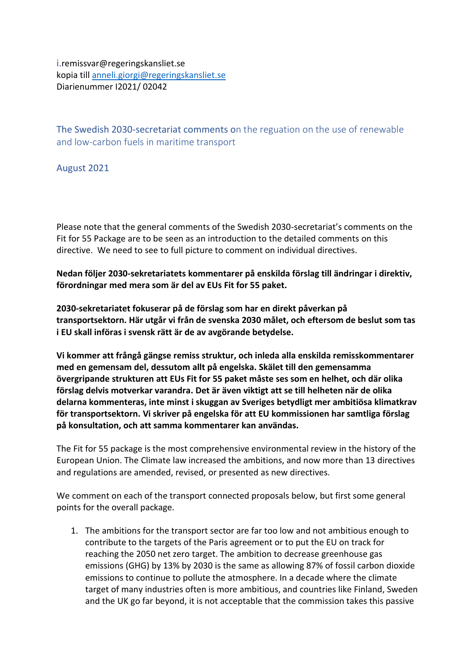i.remissvar@regeringskansliet.se kopia till [anneli.giorgi@regeringskansliet.se](mailto:anneli.giorgi@regeringskansliet.se) Diarienummer I2021/ 02042

The Swedish 2030-secretariat comments on the reguation on the use of renewable and low-carbon fuels in maritime transport

August 2021

Please note that the general comments of the Swedish 2030-secretariat's comments on the Fit for 55 Package are to be seen as an introduction to the detailed comments on this directive. We need to see to full picture to comment on individual directives.

**Nedan följer 2030-sekretariatets kommentarer på enskilda förslag till ändringar i direktiv, förordningar med mera som är del av EUs Fit for 55 paket.** 

**2030-sekretariatet fokuserar på de förslag som har en direkt påverkan på transportsektorn. Här utgår vi från de svenska 2030 målet, och eftersom de beslut som tas i EU skall införas i svensk rätt är de av avgörande betydelse.** 

**Vi kommer att frångå gängse remiss struktur, och inleda alla enskilda remisskommentarer med en gemensam del, dessutom allt på engelska. Skälet till den gemensamma övergripande strukturen att EUs Fit for 55 paket måste ses som en helhet, och där olika förslag delvis motverkar varandra. Det är även viktigt att se till helheten när de olika delarna kommenteras, inte minst i skuggan av Sveriges betydligt mer ambitiösa klimatkrav för transportsektorn. Vi skriver på engelska för att EU kommissionen har samtliga förslag på konsultation, och att samma kommentarer kan användas.**

The Fit for 55 package is the most comprehensive environmental review in the history of the European Union. The Climate law increased the ambitions, and now more than 13 directives and regulations are amended, revised, or presented as new directives.

We comment on each of the transport connected proposals below, but first some general points for the overall package.

1. The ambitions for the transport sector are far too low and not ambitious enough to contribute to the targets of the Paris agreement or to put the EU on track for reaching the 2050 net zero target. The ambition to decrease greenhouse gas emissions (GHG) by 13% by 2030 is the same as allowing 87% of fossil carbon dioxide emissions to continue to pollute the atmosphere. In a decade where the climate target of many industries often is more ambitious, and countries like Finland, Sweden and the UK go far beyond, it is not acceptable that the commission takes this passive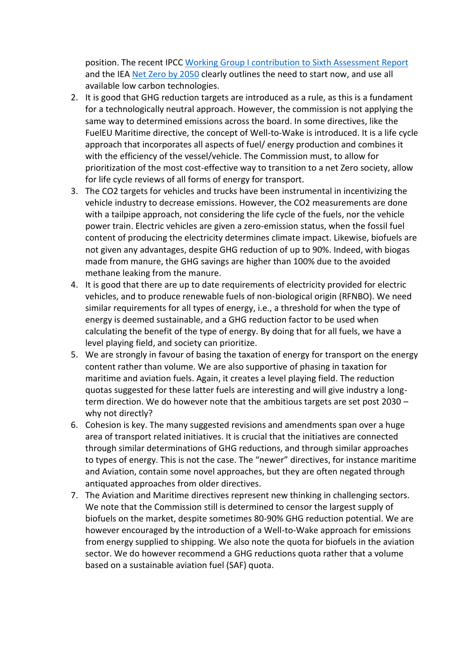position. The recent IPCC [Working Group I contribution to Sixth Assessment Report](https://www.ipcc.ch/2021/08/05/press-conference-details-wgi-ar6/) and the IEA [Net Zero by 2050](https://www.iea.org/reports/net-zero-by-2050) clearly outlines the need to start now, and use all available low carbon technologies.

- 2. It is good that GHG reduction targets are introduced as a rule, as this is a fundament for a technologically neutral approach. However, the commission is not applying the same way to determined emissions across the board. In some directives, like the FuelEU Maritime directive, the concept of Well-to-Wake is introduced. It is a life cycle approach that incorporates all aspects of fuel/ energy production and combines it with the efficiency of the vessel/vehicle. The Commission must, to allow for prioritization of the most cost-effective way to transition to a net Zero society, allow for life cycle reviews of all forms of energy for transport.
- 3. The CO2 targets for vehicles and trucks have been instrumental in incentivizing the vehicle industry to decrease emissions. However, the CO2 measurements are done with a tailpipe approach, not considering the life cycle of the fuels, nor the vehicle power train. Electric vehicles are given a zero-emission status, when the fossil fuel content of producing the electricity determines climate impact. Likewise, biofuels are not given any advantages, despite GHG reduction of up to 90%. Indeed, with biogas made from manure, the GHG savings are higher than 100% due to the avoided methane leaking from the manure.
- 4. It is good that there are up to date requirements of electricity provided for electric vehicles, and to produce renewable fuels of non-biological origin (RFNBO). We need similar requirements for all types of energy, i.e., a threshold for when the type of energy is deemed sustainable, and a GHG reduction factor to be used when calculating the benefit of the type of energy. By doing that for all fuels, we have a level playing field, and society can prioritize.
- 5. We are strongly in favour of basing the taxation of energy for transport on the energy content rather than volume. We are also supportive of phasing in taxation for maritime and aviation fuels. Again, it creates a level playing field. The reduction quotas suggested for these latter fuels are interesting and will give industry a longterm direction. We do however note that the ambitious targets are set post 2030 – why not directly?
- 6. Cohesion is key. The many suggested revisions and amendments span over a huge area of transport related initiatives. It is crucial that the initiatives are connected through similar determinations of GHG reductions, and through similar approaches to types of energy. This is not the case. The "newer" directives, for instance maritime and Aviation, contain some novel approaches, but they are often negated through antiquated approaches from older directives.
- 7. The Aviation and Maritime directives represent new thinking in challenging sectors. We note that the Commission still is determined to censor the largest supply of biofuels on the market, despite sometimes 80-90% GHG reduction potential. We are however encouraged by the introduction of a Well-to-Wake approach for emissions from energy supplied to shipping. We also note the quota for biofuels in the aviation sector. We do however recommend a GHG reductions quota rather that a volume based on a sustainable aviation fuel (SAF) quota.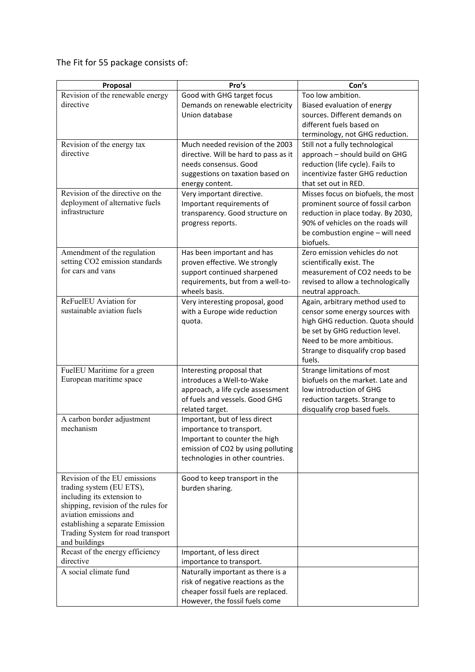The Fit for 55 package consists of:

| Proposal                                                      | Pro's                                                       | Con's                                                      |
|---------------------------------------------------------------|-------------------------------------------------------------|------------------------------------------------------------|
| Revision of the renewable energy                              | Good with GHG target focus                                  | Too low ambition.                                          |
| directive                                                     | Demands on renewable electricity                            | Biased evaluation of energy                                |
|                                                               | Union database                                              | sources. Different demands on                              |
|                                                               |                                                             | different fuels based on                                   |
|                                                               |                                                             | terminology, not GHG reduction.                            |
| Revision of the energy tax                                    | Much needed revision of the 2003                            | Still not a fully technological                            |
| directive                                                     | directive. Will be hard to pass as it                       | approach - should build on GHG                             |
|                                                               | needs consensus. Good                                       | reduction (life cycle). Fails to                           |
|                                                               | suggestions on taxation based on                            | incentivize faster GHG reduction                           |
|                                                               | energy content.                                             | that set out in RED.                                       |
| Revision of the directive on the                              | Very important directive.                                   | Misses focus on biofuels, the most                         |
| deployment of alternative fuels                               | Important requirements of                                   | prominent source of fossil carbon                          |
| infrastructure                                                | transparency. Good structure on                             | reduction in place today. By 2030,                         |
|                                                               | progress reports.                                           | 90% of vehicles on the roads will                          |
|                                                               |                                                             | be combustion engine - will need                           |
|                                                               |                                                             | biofuels.                                                  |
| Amendment of the regulation<br>setting CO2 emission standards | Has been important and has<br>proven effective. We strongly | Zero emission vehicles do not<br>scientifically exist. The |
| for cars and vans                                             | support continued sharpened                                 | measurement of CO2 needs to be                             |
|                                                               | requirements, but from a well-to-                           | revised to allow a technologically                         |
|                                                               | wheels basis.                                               | neutral approach.                                          |
| ReFuelEU Aviation for                                         | Very interesting proposal, good                             | Again, arbitrary method used to                            |
| sustainable aviation fuels                                    | with a Europe wide reduction                                | censor some energy sources with                            |
|                                                               | quota.                                                      | high GHG reduction. Quota should                           |
|                                                               |                                                             | be set by GHG reduction level.                             |
|                                                               |                                                             | Need to be more ambitious.                                 |
|                                                               |                                                             | Strange to disqualify crop based                           |
|                                                               |                                                             | fuels.                                                     |
| FuelEU Maritime for a green                                   | Interesting proposal that                                   | Strange limitations of most                                |
| European maritime space                                       | introduces a Well-to-Wake                                   | biofuels on the market. Late and                           |
|                                                               | approach, a life cycle assessment                           | low introduction of GHG                                    |
|                                                               | of fuels and vessels. Good GHG                              | reduction targets. Strange to                              |
|                                                               | related target.                                             | disqualify crop based fuels.                               |
| A carbon border adjustment                                    | Important, but of less direct                               |                                                            |
| mechanism                                                     | importance to transport.                                    |                                                            |
|                                                               | Important to counter the high                               |                                                            |
|                                                               | emission of CO2 by using polluting                          |                                                            |
|                                                               | technologies in other countries.                            |                                                            |
| Revision of the EU emissions                                  |                                                             |                                                            |
| trading system (EU ETS),                                      | Good to keep transport in the<br>burden sharing.            |                                                            |
| including its extension to                                    |                                                             |                                                            |
| shipping, revision of the rules for                           |                                                             |                                                            |
| aviation emissions and                                        |                                                             |                                                            |
| establishing a separate Emission                              |                                                             |                                                            |
| Trading System for road transport                             |                                                             |                                                            |
| and buildings                                                 |                                                             |                                                            |
| Recast of the energy efficiency                               | Important, of less direct                                   |                                                            |
| directive                                                     | importance to transport.                                    |                                                            |
| A social climate fund                                         | Naturally important as there is a                           |                                                            |
|                                                               | risk of negative reactions as the                           |                                                            |
|                                                               | cheaper fossil fuels are replaced.                          |                                                            |
|                                                               | However, the fossil fuels come                              |                                                            |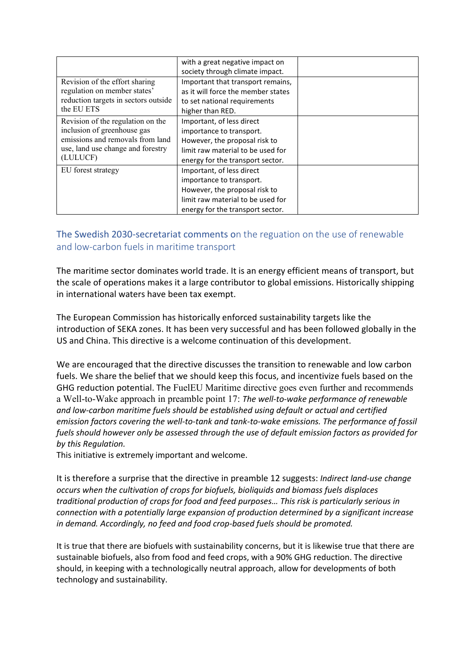|                                                                                                                                                       | with a great negative impact on<br>society through climate impact.                                                                                              |  |
|-------------------------------------------------------------------------------------------------------------------------------------------------------|-----------------------------------------------------------------------------------------------------------------------------------------------------------------|--|
| Revision of the effort sharing<br>regulation on member states'<br>reduction targets in sectors outside<br>the EU ETS                                  | Important that transport remains,<br>as it will force the member states<br>to set national requirements<br>higher than RED.                                     |  |
| Revision of the regulation on the<br>inclusion of greenhouse gas<br>emissions and removals from land<br>use, land use change and forestry<br>(LULUCF) | Important, of less direct<br>importance to transport.<br>However, the proposal risk to<br>limit raw material to be used for<br>energy for the transport sector. |  |
| EU forest strategy                                                                                                                                    | Important, of less direct<br>importance to transport.<br>However, the proposal risk to<br>limit raw material to be used for<br>energy for the transport sector. |  |

## The Swedish 2030-secretariat comments on the reguation on the use of renewable and low-carbon fuels in maritime transport

The maritime sector dominates world trade. It is an energy efficient means of transport, but the scale of operations makes it a large contributor to global emissions. Historically shipping in international waters have been tax exempt.

The European Commission has historically enforced sustainability targets like the introduction of SEKA zones. It has been very successful and has been followed globally in the US and China. This directive is a welcome continuation of this development.

We are encouraged that the directive discusses the transition to renewable and low carbon fuels. We share the belief that we should keep this focus, and incentivize fuels based on the GHG reduction potential. The FuelEU Maritime directive goes even further and recommends a Well-to-Wake approach in preamble point 17: *The well-to-wake performance of renewable and low-carbon maritime fuels should be established using default or actual and certified emission factors covering the well-to-tank and tank-to-wake emissions. The performance of fossil fuels should however only be assessed through the use of default emission factors as provided for by this Regulation.*

This initiative is extremely important and welcome.

It is therefore a surprise that the directive in preamble 12 suggests: *Indirect land-use change occurs when the cultivation of crops for biofuels, bioliquids and biomass fuels displaces traditional production of crops for food and feed purposes… This risk is particularly serious in connection with a potentially large expansion of production determined by a significant increase in demand. Accordingly, no feed and food crop-based fuels should be promoted.*

It is true that there are biofuels with sustainability concerns, but it is likewise true that there are sustainable biofuels, also from food and feed crops, with a 90% GHG reduction. The directive should, in keeping with a technologically neutral approach, allow for developments of both technology and sustainability.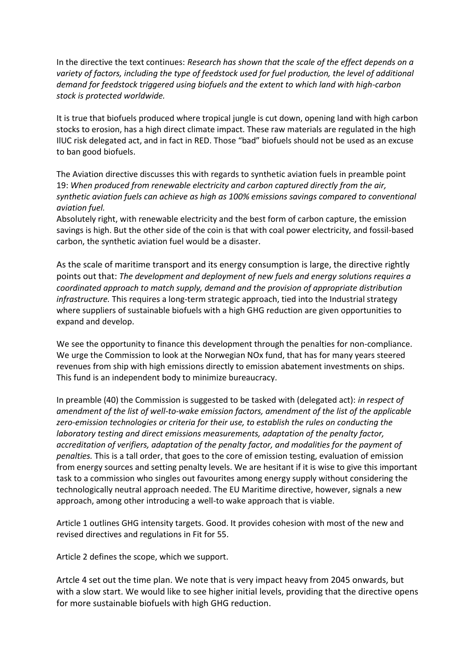In the directive the text continues: *Research has shown that the scale of the effect depends on a variety of factors, including the type of feedstock used for fuel production, the level of additional demand for feedstock triggered using biofuels and the extent to which land with high-carbon stock is protected worldwide.*

It is true that biofuels produced where tropical jungle is cut down, opening land with high carbon stocks to erosion, has a high direct climate impact. These raw materials are regulated in the high IlUC risk delegated act, and in fact in RED. Those "bad" biofuels should not be used as an excuse to ban good biofuels.

The Aviation directive discusses this with regards to synthetic aviation fuels in preamble point 19: *When produced from renewable electricity and carbon captured directly from the air, synthetic aviation fuels can achieve as high as 100% emissions savings compared to conventional aviation fuel.*

Absolutely right, with renewable electricity and the best form of carbon capture, the emission savings is high. But the other side of the coin is that with coal power electricity, and fossil-based carbon, the synthetic aviation fuel would be a disaster.

As the scale of maritime transport and its energy consumption is large, the directive rightly points out that: *The development and deployment of new fuels and energy solutions requires a coordinated approach to match supply, demand and the provision of appropriate distribution infrastructure.* This requires a long-term strategic approach, tied into the Industrial strategy where suppliers of sustainable biofuels with a high GHG reduction are given opportunities to expand and develop.

We see the opportunity to finance this development through the penalties for non-compliance. We urge the Commission to look at the Norwegian NOx fund, that has for many years steered revenues from ship with high emissions directly to emission abatement investments on ships. This fund is an independent body to minimize bureaucracy.

In preamble (40) the Commission is suggested to be tasked with (delegated act): *in respect of amendment of the list of well-to-wake emission factors, amendment of the list of the applicable zero-emission technologies or criteria for their use, to establish the rules on conducting the laboratory testing and direct emissions measurements, adaptation of the penalty factor, accreditation of verifiers, adaptation of the penalty factor, and modalities for the payment of penalties.* This is a tall order, that goes to the core of emission testing, evaluation of emission from energy sources and setting penalty levels. We are hesitant if it is wise to give this important task to a commission who singles out favourites among energy supply without considering the technologically neutral approach needed. The EU Maritime directive, however, signals a new approach, among other introducing a well-to wake approach that is viable.

Article 1 outlines GHG intensity targets. Good. It provides cohesion with most of the new and revised directives and regulations in Fit for 55.

Article 2 defines the scope, which we support.

Artcle 4 set out the time plan. We note that is very impact heavy from 2045 onwards, but with a slow start. We would like to see higher initial levels, providing that the directive opens for more sustainable biofuels with high GHG reduction.